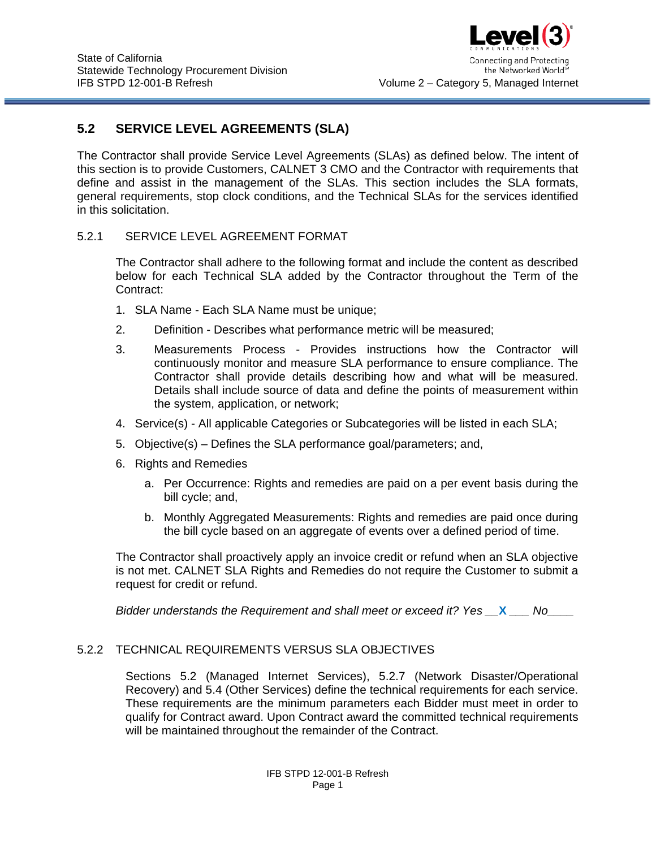

the Networked Worlds Volume 2 – Category 5, Managed Internet

# **5.2 SERVICE LEVEL AGREEMENTS (SLA)**

The Contractor shall provide Service Level Agreements (SLAs) as defined below. The intent of this section is to provide Customers, CALNET 3 CMO and the Contractor with requirements that define and assist in the management of the SLAs. This section includes the SLA formats, general requirements, stop clock conditions, and the Technical SLAs for the services identified in this solicitation.

## 5.2.1 SERVICE LEVEL AGREEMENT FORMAT

The Contractor shall adhere to the following format and include the content as described below for each Technical SLA added by the Contractor throughout the Term of the Contract:

- 1. SLA Name Each SLA Name must be unique;
- 2. Definition Describes what performance metric will be measured;
- 3. Measurements Process Provides instructions how the Contractor will continuously monitor and measure SLA performance to ensure compliance. The Contractor shall provide details describing how and what will be measured. Details shall include source of data and define the points of measurement within the system, application, or network;
- 4. Service(s) All applicable Categories or Subcategories will be listed in each SLA;
- 5. Objective(s) Defines the SLA performance goal/parameters; and,
- 6. Rights and Remedies
	- a. Per Occurrence: Rights and remedies are paid on a per event basis during the bill cycle; and,
	- b. Monthly Aggregated Measurements: Rights and remedies are paid once during the bill cycle based on an aggregate of events over a defined period of time.

The Contractor shall proactively apply an invoice credit or refund when an SLA objective is not met. CALNET SLA Rights and Remedies do not require the Customer to submit a request for credit or refund.

*Bidder understands the Requirement and shall meet or exceed it? Yes X Mo* 

## 5.2.2 TECHNICAL REQUIREMENTS VERSUS SLA OBJECTIVES

Sections 5.2 (Managed Internet Services), 5.2.7 (Network Disaster/Operational Recovery) and 5.4 (Other Services) define the technical requirements for each service. These requirements are the minimum parameters each Bidder must meet in order to qualify for Contract award. Upon Contract award the committed technical requirements will be maintained throughout the remainder of the Contract.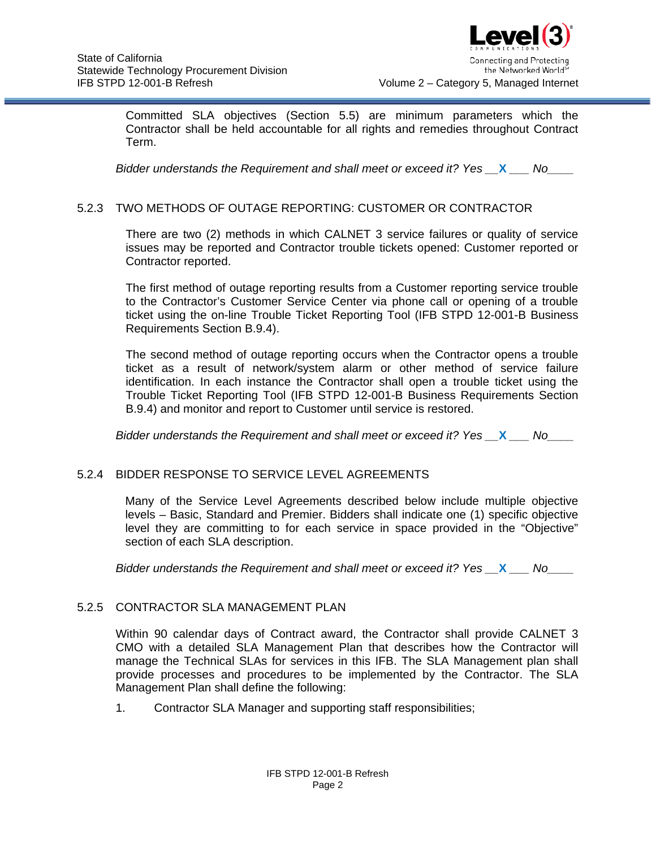

Committed SLA objectives (Section 5.5) are minimum parameters which the Contractor shall be held accountable for all rights and remedies throughout Contract Term.

*Bidder understands the Requirement and shall meet or exceed it? Yes \_\_***X** *\_\_\_ No\_\_\_\_*

## 5.2.3 TWO METHODS OF OUTAGE REPORTING: CUSTOMER OR CONTRACTOR

There are two (2) methods in which CALNET 3 service failures or quality of service issues may be reported and Contractor trouble tickets opened: Customer reported or Contractor reported.

The first method of outage reporting results from a Customer reporting service trouble to the Contractor's Customer Service Center via phone call or opening of a trouble ticket using the on-line Trouble Ticket Reporting Tool (IFB STPD 12-001-B Business Requirements Section B.9.4).

The second method of outage reporting occurs when the Contractor opens a trouble ticket as a result of network/system alarm or other method of service failure identification. In each instance the Contractor shall open a trouble ticket using the Trouble Ticket Reporting Tool (IFB STPD 12-001-B Business Requirements Section B.9.4) and monitor and report to Customer until service is restored.

*Bidder understands the Requirement and shall meet or exceed it? Yes*  $\mathbf{X}$  *\_\_\_\_ No* 

# 5.2.4 BIDDER RESPONSE TO SERVICE LEVEL AGREEMENTS

Many of the Service Level Agreements described below include multiple objective levels – Basic, Standard and Premier. Bidders shall indicate one (1) specific objective level they are committing to for each service in space provided in the "Objective" section of each SLA description.

*Bidder understands the Requirement and shall meet or exceed it? Yes \_\_***X** *\_\_\_ No\_\_\_\_*

## 5.2.5 CONTRACTOR SLA MANAGEMENT PLAN

Within 90 calendar days of Contract award, the Contractor shall provide CALNET 3 CMO with a detailed SLA Management Plan that describes how the Contractor will manage the Technical SLAs for services in this IFB. The SLA Management plan shall provide processes and procedures to be implemented by the Contractor. The SLA Management Plan shall define the following:

1. Contractor SLA Manager and supporting staff responsibilities;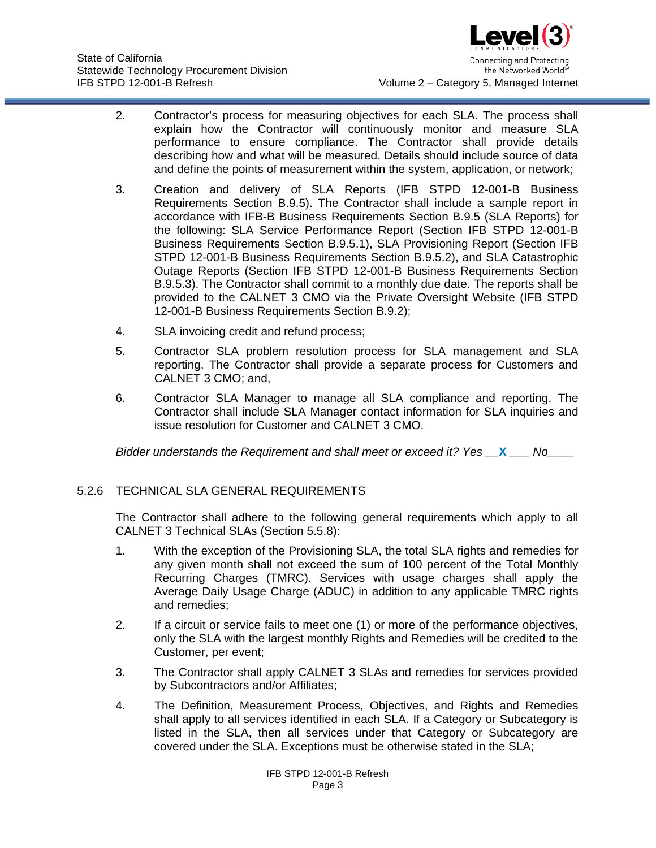

- 2. Contractor's process for measuring objectives for each SLA. The process shall explain how the Contractor will continuously monitor and measure SLA performance to ensure compliance. The Contractor shall provide details describing how and what will be measured. Details should include source of data and define the points of measurement within the system, application, or network;
- 3. Creation and delivery of SLA Reports (IFB STPD 12-001-B Business Requirements Section B.9.5). The Contractor shall include a sample report in accordance with IFB-B Business Requirements Section B.9.5 (SLA Reports) for the following: SLA Service Performance Report (Section IFB STPD 12-001-B Business Requirements Section B.9.5.1), SLA Provisioning Report (Section IFB STPD 12-001-B Business Requirements Section B.9.5.2), and SLA Catastrophic Outage Reports (Section IFB STPD 12-001-B Business Requirements Section B.9.5.3). The Contractor shall commit to a monthly due date. The reports shall be provided to the CALNET 3 CMO via the Private Oversight Website (IFB STPD 12-001-B Business Requirements Section B.9.2);
- 4. SLA invoicing credit and refund process;
- 5. Contractor SLA problem resolution process for SLA management and SLA reporting. The Contractor shall provide a separate process for Customers and CALNET 3 CMO; and,
- 6. Contractor SLA Manager to manage all SLA compliance and reporting. The Contractor shall include SLA Manager contact information for SLA inquiries and issue resolution for Customer and CALNET 3 CMO.

## 5.2.6 TECHNICAL SLA GENERAL REQUIREMENTS

The Contractor shall adhere to the following general requirements which apply to all CALNET 3 Technical SLAs (Section [5.5.8\)](#page-7-0):

- 1. With the exception of the Provisioning SLA, the total SLA rights and remedies for any given month shall not exceed the sum of 100 percent of the Total Monthly Recurring Charges (TMRC). Services with usage charges shall apply the Average Daily Usage Charge (ADUC) in addition to any applicable TMRC rights and remedies;
- 2. If a circuit or service fails to meet one (1) or more of the performance objectives, only the SLA with the largest monthly Rights and Remedies will be credited to the Customer, per event;
- 3. The Contractor shall apply CALNET 3 SLAs and remedies for services provided by Subcontractors and/or Affiliates;
- 4. The Definition, Measurement Process, Objectives, and Rights and Remedies shall apply to all services identified in each SLA. If a Category or Subcategory is listed in the SLA, then all services under that Category or Subcategory are covered under the SLA. Exceptions must be otherwise stated in the SLA;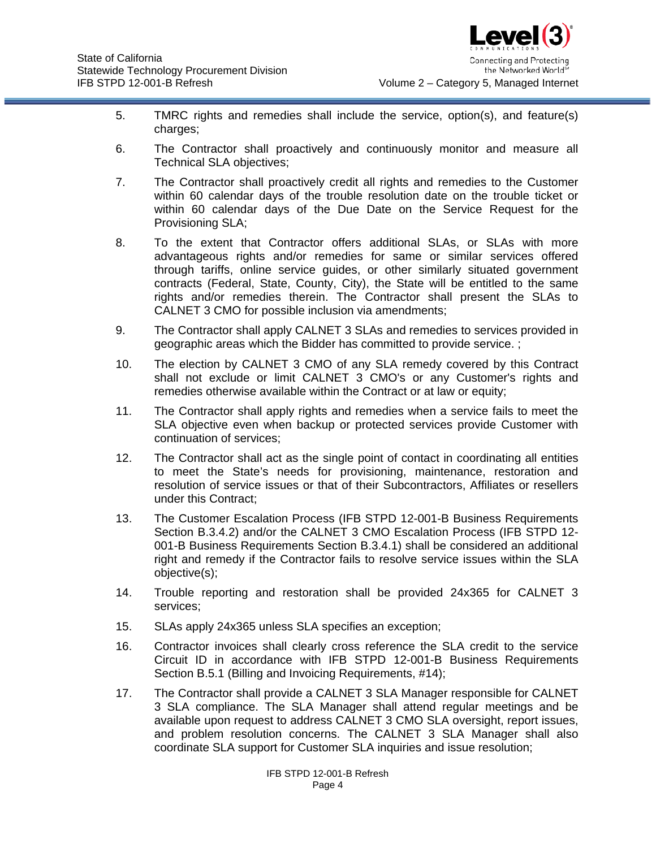- 5. TMRC rights and remedies shall include the service, option(s), and feature(s) charges;
- 6. The Contractor shall proactively and continuously monitor and measure all Technical SLA objectives;
- 7. The Contractor shall proactively credit all rights and remedies to the Customer within 60 calendar days of the trouble resolution date on the trouble ticket or within 60 calendar days of the Due Date on the Service Request for the Provisioning SLA;
- 8. To the extent that Contractor offers additional SLAs, or SLAs with more advantageous rights and/or remedies for same or similar services offered through tariffs, online service guides, or other similarly situated government contracts (Federal, State, County, City), the State will be entitled to the same rights and/or remedies therein. The Contractor shall present the SLAs to CALNET 3 CMO for possible inclusion via amendments;
- 9. The Contractor shall apply CALNET 3 SLAs and remedies to services provided in geographic areas which the Bidder has committed to provide service. ;
- 10. The election by CALNET 3 CMO of any SLA remedy covered by this Contract shall not exclude or limit CALNET 3 CMO's or any Customer's rights and remedies otherwise available within the Contract or at law or equity;
- 11. The Contractor shall apply rights and remedies when a service fails to meet the SLA objective even when backup or protected services provide Customer with continuation of services;
- 12. The Contractor shall act as the single point of contact in coordinating all entities to meet the State's needs for provisioning, maintenance, restoration and resolution of service issues or that of their Subcontractors, Affiliates or resellers under this Contract;
- 13. The Customer Escalation Process (IFB STPD 12-001-B Business Requirements Section B.3.4.2) and/or the CALNET 3 CMO Escalation Process (IFB STPD 12- 001-B Business Requirements Section B.3.4.1) shall be considered an additional right and remedy if the Contractor fails to resolve service issues within the SLA objective(s);
- 14. Trouble reporting and restoration shall be provided 24x365 for CALNET 3 services;
- 15. SLAs apply 24x365 unless SLA specifies an exception;
- 16. Contractor invoices shall clearly cross reference the SLA credit to the service Circuit ID in accordance with IFB STPD 12-001-B Business Requirements Section B.5.1 (Billing and Invoicing Requirements, #14);
- 17. The Contractor shall provide a CALNET 3 SLA Manager responsible for CALNET 3 SLA compliance. The SLA Manager shall attend regular meetings and be available upon request to address CALNET 3 CMO SLA oversight, report issues, and problem resolution concerns. The CALNET 3 SLA Manager shall also coordinate SLA support for Customer SLA inquiries and issue resolution;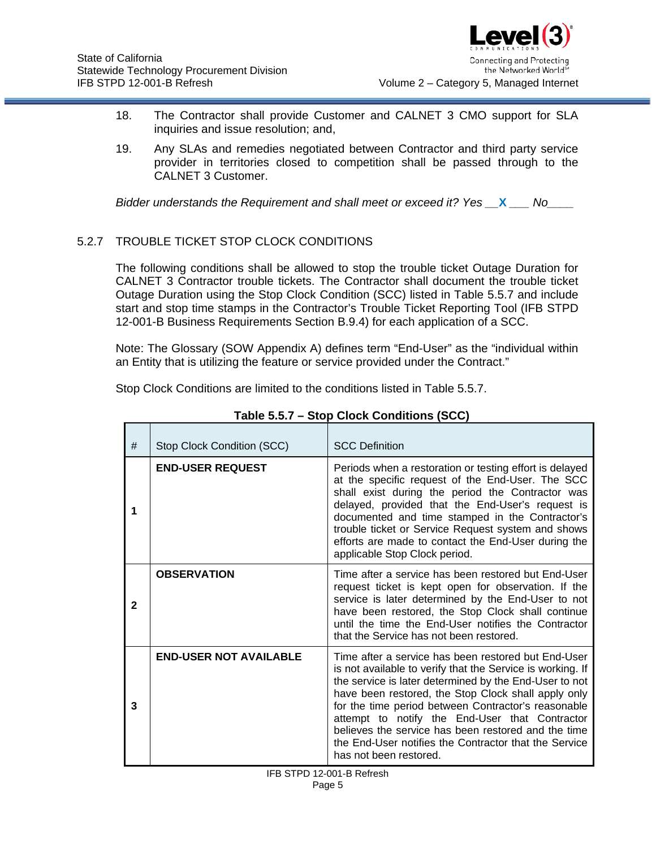

- 18. The Contractor shall provide Customer and CALNET 3 CMO support for SLA inquiries and issue resolution; and,
- 19. Any SLAs and remedies negotiated between Contractor and third party service provider in territories closed to competition shall be passed through to the CALNET 3 Customer.

*Bidder understands the Requirement and shall meet or exceed it? Yes X Mo* 

# <span id="page-4-0"></span>5.2.7 TROUBLE TICKET STOP CLOCK CONDITIONS

The following conditions shall be allowed to stop the trouble ticket Outage Duration for CALNET 3 Contractor trouble tickets. The Contractor shall document the trouble ticket Outage Duration using the Stop Clock Condition (SCC) listed in Table [5.5.7](#page-4-0) and include start and stop time stamps in the Contractor's Trouble Ticket Reporting Tool (IFB STPD 12-001-B Business Requirements Section B.9.4) for each application of a SCC.

Note: The Glossary (SOW Appendix A) defines term "End-User" as the "individual within an Entity that is utilizing the feature or service provided under the Contract."

Stop Clock Conditions are limited to the conditions listed in Table [5.5.7.](#page-4-0)

| #            | Stop Clock Condition (SCC)    | <b>SCC Definition</b>                                                                                                                                                                                                                                                                                                                                                                                                                                                                 |
|--------------|-------------------------------|---------------------------------------------------------------------------------------------------------------------------------------------------------------------------------------------------------------------------------------------------------------------------------------------------------------------------------------------------------------------------------------------------------------------------------------------------------------------------------------|
| 1            | <b>END-USER REQUEST</b>       | Periods when a restoration or testing effort is delayed<br>at the specific request of the End-User. The SCC<br>shall exist during the period the Contractor was<br>delayed, provided that the End-User's request is<br>documented and time stamped in the Contractor's<br>trouble ticket or Service Request system and shows<br>efforts are made to contact the End-User during the<br>applicable Stop Clock period.                                                                  |
| $\mathbf{2}$ | <b>OBSERVATION</b>            | Time after a service has been restored but End-User<br>request ticket is kept open for observation. If the<br>service is later determined by the End-User to not<br>have been restored, the Stop Clock shall continue<br>until the time the End-User notifies the Contractor<br>that the Service has not been restored.                                                                                                                                                               |
| 3            | <b>END-USER NOT AVAILABLE</b> | Time after a service has been restored but End-User<br>is not available to verify that the Service is working. If<br>the service is later determined by the End-User to not<br>have been restored, the Stop Clock shall apply only<br>for the time period between Contractor's reasonable<br>attempt to notify the End-User that Contractor<br>believes the service has been restored and the time<br>the End-User notifies the Contractor that the Service<br>has not been restored. |

**Table [5.5.7](#page-4-0) – Stop Clock Conditions (SCC)**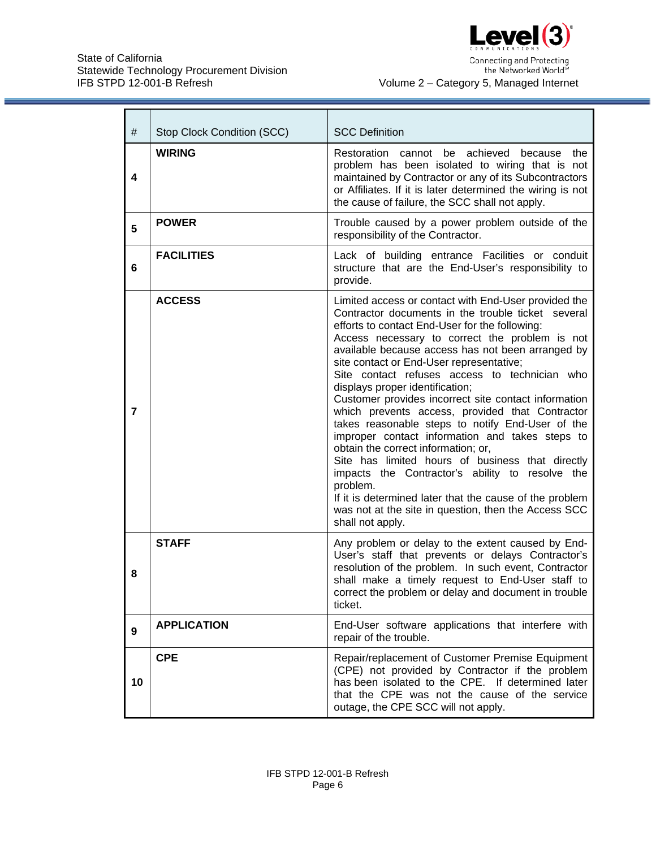

Connecting and Protecting<br>the Networked World™

| #              | Stop Clock Condition (SCC) | <b>SCC Definition</b>                                                                                                                                                                                                                                                                                                                                                                                                                                                                                                                                                                                                                                                                                                                                                                                                                                                                                                  |
|----------------|----------------------------|------------------------------------------------------------------------------------------------------------------------------------------------------------------------------------------------------------------------------------------------------------------------------------------------------------------------------------------------------------------------------------------------------------------------------------------------------------------------------------------------------------------------------------------------------------------------------------------------------------------------------------------------------------------------------------------------------------------------------------------------------------------------------------------------------------------------------------------------------------------------------------------------------------------------|
| 4              | <b>WIRING</b>              | Restoration cannot be achieved<br>because<br>the<br>problem has been isolated to wiring that is not<br>maintained by Contractor or any of its Subcontractors<br>or Affiliates. If it is later determined the wiring is not<br>the cause of failure, the SCC shall not apply.                                                                                                                                                                                                                                                                                                                                                                                                                                                                                                                                                                                                                                           |
| 5              | <b>POWER</b>               | Trouble caused by a power problem outside of the<br>responsibility of the Contractor.                                                                                                                                                                                                                                                                                                                                                                                                                                                                                                                                                                                                                                                                                                                                                                                                                                  |
| 6              | <b>FACILITIES</b>          | Lack of building entrance Facilities or conduit<br>structure that are the End-User's responsibility to<br>provide.                                                                                                                                                                                                                                                                                                                                                                                                                                                                                                                                                                                                                                                                                                                                                                                                     |
| $\overline{7}$ | <b>ACCESS</b>              | Limited access or contact with End-User provided the<br>Contractor documents in the trouble ticket several<br>efforts to contact End-User for the following:<br>Access necessary to correct the problem is not<br>available because access has not been arranged by<br>site contact or End-User representative;<br>Site contact refuses access to technician who<br>displays proper identification;<br>Customer provides incorrect site contact information<br>which prevents access, provided that Contractor<br>takes reasonable steps to notify End-User of the<br>improper contact information and takes steps to<br>obtain the correct information; or,<br>Site has limited hours of business that directly<br>impacts the Contractor's ability to resolve the<br>problem.<br>If it is determined later that the cause of the problem<br>was not at the site in question, then the Access SCC<br>shall not apply. |
| 8              | <b>STAFF</b>               | Any problem or delay to the extent caused by End-<br>User's staff that prevents or delays Contractor's<br>resolution of the problem. In such event, Contractor<br>shall make a timely request to End-User staff to<br>correct the problem or delay and document in trouble<br>ticket.                                                                                                                                                                                                                                                                                                                                                                                                                                                                                                                                                                                                                                  |
| 9              | <b>APPLICATION</b>         | End-User software applications that interfere with<br>repair of the trouble.                                                                                                                                                                                                                                                                                                                                                                                                                                                                                                                                                                                                                                                                                                                                                                                                                                           |
| 10             | <b>CPE</b>                 | Repair/replacement of Customer Premise Equipment<br>(CPE) not provided by Contractor if the problem<br>has been isolated to the CPE. If determined later<br>that the CPE was not the cause of the service<br>outage, the CPE SCC will not apply.                                                                                                                                                                                                                                                                                                                                                                                                                                                                                                                                                                                                                                                                       |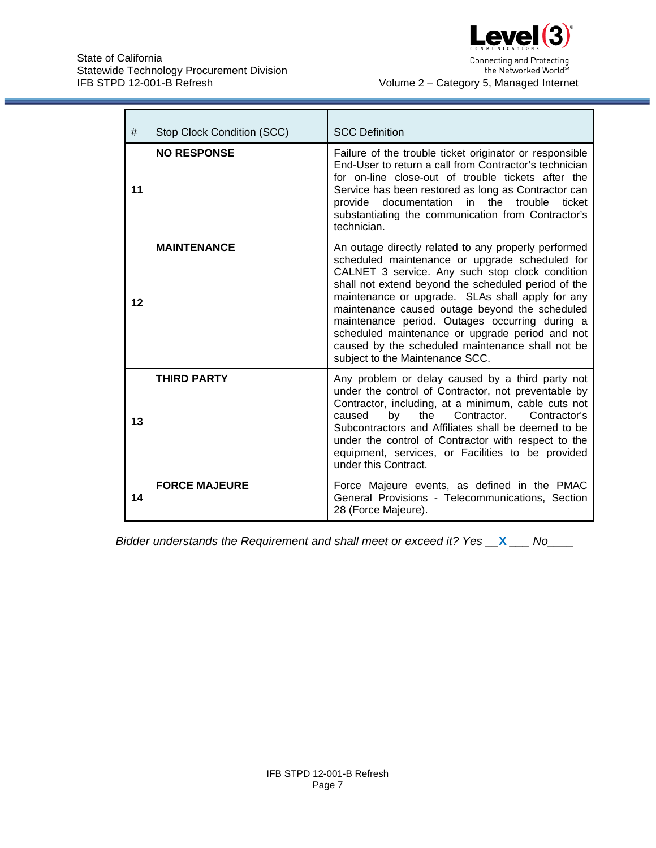

| #  | Stop Clock Condition (SCC) | <b>SCC Definition</b>                                                                                                                                                                                                                                                                                                                                                                                                                                                                                              |
|----|----------------------------|--------------------------------------------------------------------------------------------------------------------------------------------------------------------------------------------------------------------------------------------------------------------------------------------------------------------------------------------------------------------------------------------------------------------------------------------------------------------------------------------------------------------|
| 11 | <b>NO RESPONSE</b>         | Failure of the trouble ticket originator or responsible<br>End-User to return a call from Contractor's technician<br>for on-line close-out of trouble tickets after the<br>Service has been restored as long as Contractor can<br>provide documentation in<br>ticket<br>the trouble<br>substantiating the communication from Contractor's<br>technician.                                                                                                                                                           |
| 12 | <b>MAINTENANCE</b>         | An outage directly related to any properly performed<br>scheduled maintenance or upgrade scheduled for<br>CALNET 3 service. Any such stop clock condition<br>shall not extend beyond the scheduled period of the<br>maintenance or upgrade. SLAs shall apply for any<br>maintenance caused outage beyond the scheduled<br>maintenance period. Outages occurring during a<br>scheduled maintenance or upgrade period and not<br>caused by the scheduled maintenance shall not be<br>subject to the Maintenance SCC. |
| 13 | <b>THIRD PARTY</b>         | Any problem or delay caused by a third party not<br>under the control of Contractor, not preventable by<br>Contractor, including, at a minimum, cable cuts not<br>the<br>Contractor.<br>by<br>Contractor's<br>caused<br>Subcontractors and Affiliates shall be deemed to be<br>under the control of Contractor with respect to the<br>equipment, services, or Facilities to be provided<br>under this Contract.                                                                                                    |
| 14 | <b>FORCE MAJEURE</b>       | Force Majeure events, as defined in the PMAC<br>General Provisions - Telecommunications, Section<br>28 (Force Majeure).                                                                                                                                                                                                                                                                                                                                                                                            |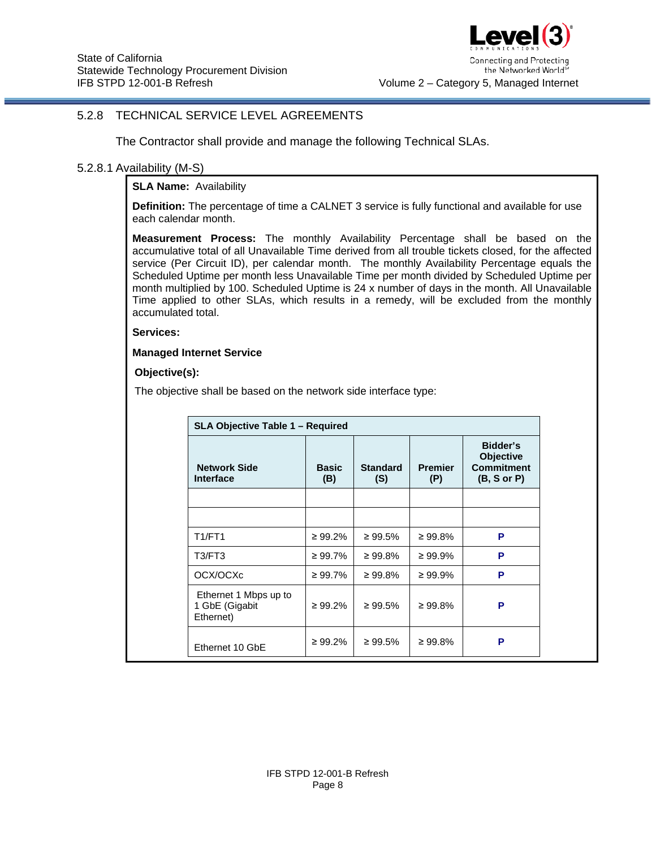

## <span id="page-7-0"></span>5.2.8 TECHNICAL SERVICE LEVEL AGREEMENTS

The Contractor shall provide and manage the following Technical SLAs.

## 5.2.8.1 Availability (M-S)

**SLA Name: Availability** 

**Definition:** The percentage of time a CALNET 3 service is fully functional and available for use each calendar month.

**Measurement Process:** The monthly Availability Percentage shall be based on the accumulative total of all Unavailable Time derived from all trouble tickets closed, for the affected service (Per Circuit ID), per calendar month. The monthly Availability Percentage equals the Scheduled Uptime per month less Unavailable Time per month divided by Scheduled Uptime per month multiplied by 100. Scheduled Uptime is 24 x number of days in the month. All Unavailable Time applied to other SLAs, which results in a remedy, will be excluded from the monthly accumulated total.

#### **Services:**

#### **Managed Internet Service**

### **Objective(s):**

The objective shall be based on the network side interface type:

| <b>Network Side</b><br><b>Interface</b>              | <b>Basic</b><br>(B) | <b>Standard</b><br>(S) | <b>Premier</b><br>(P) | Bidder's<br><b>Objective</b><br><b>Commitment</b><br>(B, S or P) |
|------------------------------------------------------|---------------------|------------------------|-----------------------|------------------------------------------------------------------|
|                                                      |                     |                        |                       |                                                                  |
| <b>T1/FT1</b>                                        | $\geq 99.2\%$       | $\geq 99.5\%$          | $\geq 99.8\%$         | P                                                                |
| T3/FT3                                               | ≥ 99.7%             | $\geq 99.8\%$          | $\geq 99.9\%$         | P                                                                |
| OCX/OCXc                                             | ≥ 99.7%             | $\geq 99.8\%$          | $\geq 99.9\%$         | P                                                                |
| Ethernet 1 Mbps up to<br>1 GbE (Gigabit<br>Ethernet) | $\geq 99.2\%$       | $\geq 99.5\%$          | $\geq 99.8\%$         | P                                                                |
| Ethernet 10 GbE                                      | $\geq 99.2\%$       | $\geq 99.5\%$          | $\geq 99.8\%$         | P                                                                |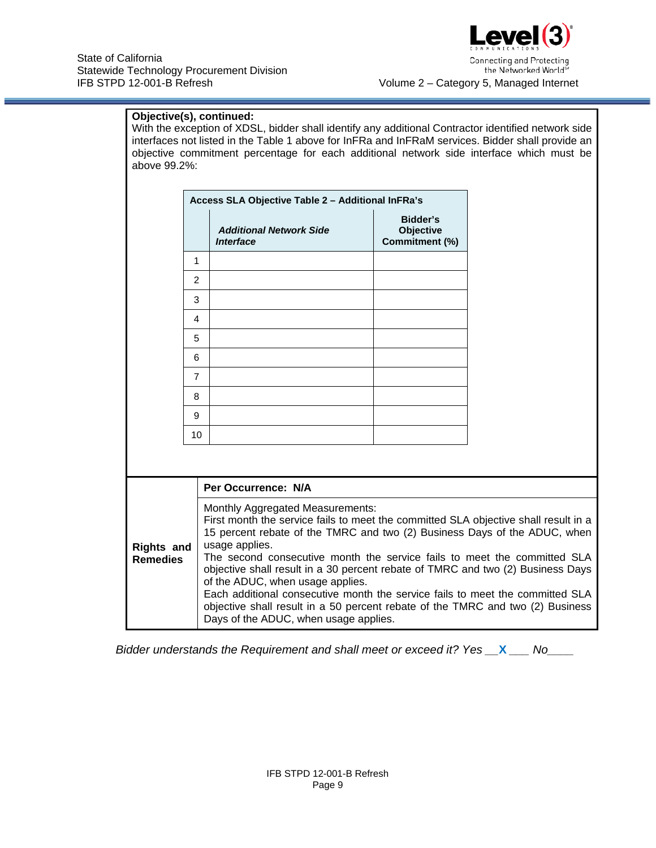

Connecting and Protecting the Networked Worlds Volume 2 – Category 5, Managed Internet

## **Objective(s), continued:**

With the exception of XDSL, bidder shall identify any additional Contractor identified network side interfaces not listed in the Table 1 above for InFRa and InFRaM services. Bidder shall provide an objective commitment percentage for each additional network side interface which must be above 99.2%:

|                                      |                | Access SLA Objective Table 2 - Additional InFRa's                                                                                                                                                                                                                                                                                                                                                                                                                                                                                                                                            |                                         |  |
|--------------------------------------|----------------|----------------------------------------------------------------------------------------------------------------------------------------------------------------------------------------------------------------------------------------------------------------------------------------------------------------------------------------------------------------------------------------------------------------------------------------------------------------------------------------------------------------------------------------------------------------------------------------------|-----------------------------------------|--|
|                                      |                | <b>Additional Network Side</b><br><b>Interface</b>                                                                                                                                                                                                                                                                                                                                                                                                                                                                                                                                           | Bidder's<br>Objective<br>Commitment (%) |  |
|                                      | 1              |                                                                                                                                                                                                                                                                                                                                                                                                                                                                                                                                                                                              |                                         |  |
|                                      | $\overline{2}$ |                                                                                                                                                                                                                                                                                                                                                                                                                                                                                                                                                                                              |                                         |  |
|                                      | 3              |                                                                                                                                                                                                                                                                                                                                                                                                                                                                                                                                                                                              |                                         |  |
|                                      | 4              |                                                                                                                                                                                                                                                                                                                                                                                                                                                                                                                                                                                              |                                         |  |
|                                      | 5              |                                                                                                                                                                                                                                                                                                                                                                                                                                                                                                                                                                                              |                                         |  |
|                                      | 6              |                                                                                                                                                                                                                                                                                                                                                                                                                                                                                                                                                                                              |                                         |  |
|                                      | $\overline{7}$ |                                                                                                                                                                                                                                                                                                                                                                                                                                                                                                                                                                                              |                                         |  |
|                                      | 8              |                                                                                                                                                                                                                                                                                                                                                                                                                                                                                                                                                                                              |                                         |  |
|                                      | 9              |                                                                                                                                                                                                                                                                                                                                                                                                                                                                                                                                                                                              |                                         |  |
|                                      | 10             |                                                                                                                                                                                                                                                                                                                                                                                                                                                                                                                                                                                              |                                         |  |
|                                      |                |                                                                                                                                                                                                                                                                                                                                                                                                                                                                                                                                                                                              |                                         |  |
|                                      |                | Per Occurrence: N/A                                                                                                                                                                                                                                                                                                                                                                                                                                                                                                                                                                          |                                         |  |
| <b>Rights and</b><br><b>Remedies</b> |                | Monthly Aggregated Measurements:<br>First month the service fails to meet the committed SLA objective shall result in a<br>15 percent rebate of the TMRC and two (2) Business Days of the ADUC, when<br>usage applies.<br>The second consecutive month the service fails to meet the committed SLA<br>objective shall result in a 30 percent rebate of TMRC and two (2) Business Days<br>of the ADUC, when usage applies.<br>Each additional consecutive month the service fails to meet the committed SLA<br>objective shall result in a 50 percent rebate of the TMRC and two (2) Business |                                         |  |

*Bidder understands the Requirement and shall meet or exceed it? Yes \_\_***X** *\_\_\_ No\_\_\_\_*

Days of the ADUC, when usage applies.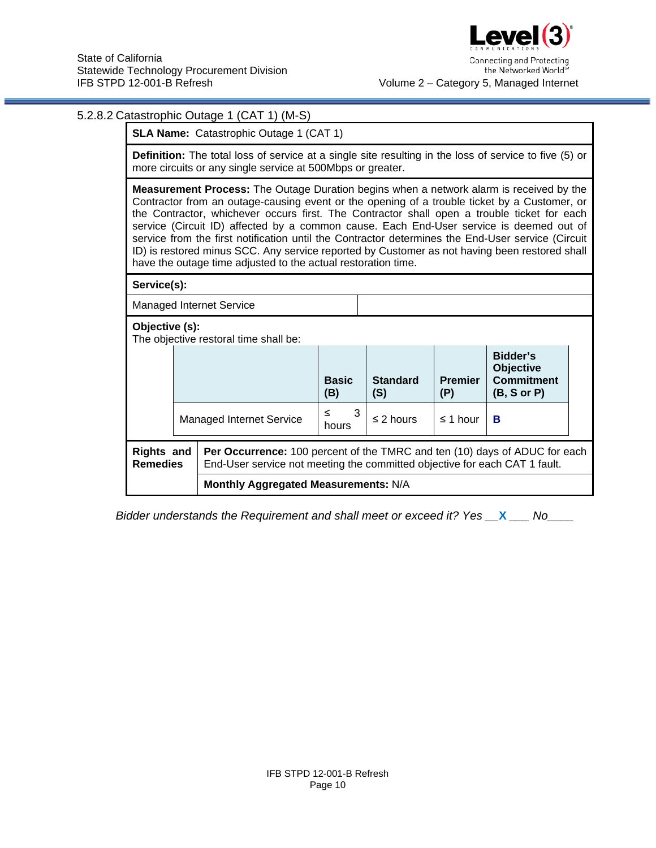

the Networked Worlds Volume 2 – Category 5, Managed Internet

## 5.2.8.2 Catastrophic Outage 1 (CAT 1) (M-S)

**SLA Name: Catastrophic Outage 1 (CAT 1)** 

**Definition:** The total loss of service at a single site resulting in the loss of service to five (5) or more circuits or any single service at 500Mbps or greater.

**Measurement Process:** The Outage Duration begins when a network alarm is received by the Contractor from an outage-causing event or the opening of a trouble ticket by a Customer, or the Contractor, whichever occurs first. The Contractor shall open a trouble ticket for each service (Circuit ID) affected by a common cause. Each End-User service is deemed out of service from the first notification until the Contractor determines the End-User service (Circuit ID) is restored minus SCC. Any service reported by Customer as not having been restored shall have the outage time adjusted to the actual restoration time.

| nave the outage time adjusted to the actual restoration time. |                                                                                                                                                                                                  |                                      |                     |                        |                       |                                                                  |  |
|---------------------------------------------------------------|--------------------------------------------------------------------------------------------------------------------------------------------------------------------------------------------------|--------------------------------------|---------------------|------------------------|-----------------------|------------------------------------------------------------------|--|
| Service(s):                                                   |                                                                                                                                                                                                  |                                      |                     |                        |                       |                                                                  |  |
| <b>Managed Internet Service</b>                               |                                                                                                                                                                                                  |                                      |                     |                        |                       |                                                                  |  |
| Objective (s):<br>The objective restoral time shall be:       |                                                                                                                                                                                                  |                                      |                     |                        |                       |                                                                  |  |
|                                                               |                                                                                                                                                                                                  |                                      | <b>Basic</b><br>(B) | <b>Standard</b><br>(S) | <b>Premier</b><br>(P) | Bidder's<br><b>Objective</b><br><b>Commitment</b><br>(B, S or P) |  |
|                                                               |                                                                                                                                                                                                  | <b>Managed Internet Service</b>      | 3<br>≤<br>hours     | $\leq$ 2 hours         | $\leq$ 1 hour         | в                                                                |  |
|                                                               | <b>Rights and</b><br>Per Occurrence: 100 percent of the TMRC and ten (10) days of ADUC for each<br><b>Remedies</b><br>End-User service not meeting the committed objective for each CAT 1 fault. |                                      |                     |                        |                       |                                                                  |  |
|                                                               |                                                                                                                                                                                                  | Monthly Aggregated Measurements: N/A |                     |                        |                       |                                                                  |  |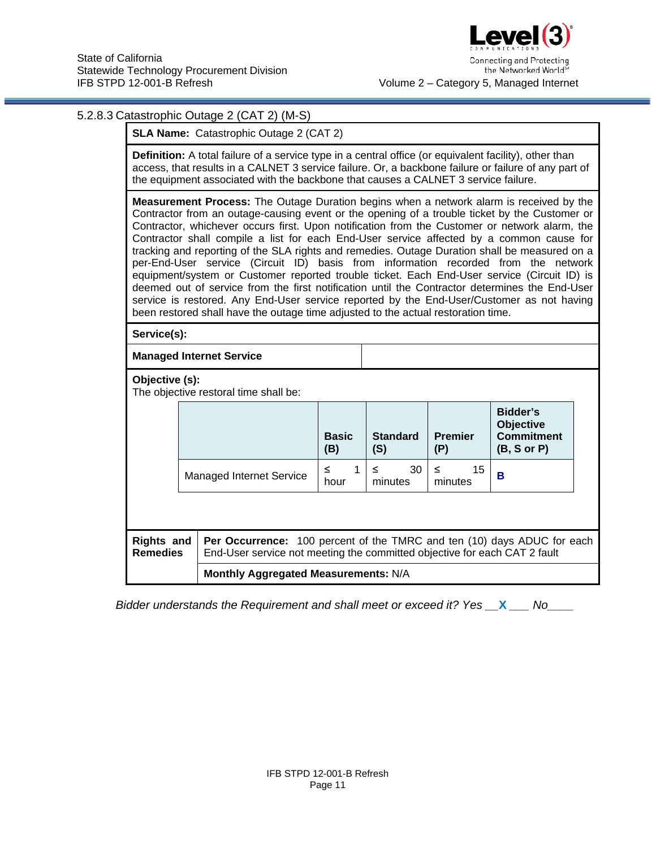

## 5.2.8.3 Catastrophic Outage 2 (CAT 2) (M-S)

**SLA Name:** Catastrophic Outage 2 (CAT 2)

**Definition:** A total failure of a service type in a central office (or equivalent facility), other than access, that results in a CALNET 3 service failure. Or, a backbone failure or failure of any part of the equipment associated with the backbone that causes a CALNET 3 service failure.

**Measurement Process:** The Outage Duration begins when a network alarm is received by the Contractor from an outage-causing event or the opening of a trouble ticket by the Customer or Contractor, whichever occurs first. Upon notification from the Customer or network alarm, the Contractor shall compile a list for each End-User service affected by a common cause for tracking and reporting of the SLA rights and remedies. Outage Duration shall be measured on a per-End-User service (Circuit ID) basis from information recorded from the network equipment/system or Customer reported trouble ticket. Each End-User service (Circuit ID) is deemed out of service from the first notification until the Contractor determines the End-User service is restored. Any End-User service reported by the End-User/Customer as not having been restored shall have the outage time adjusted to the actual restoration time.

**Service(s):**

**Managed Internet Service**

#### **Objective (s):**

The objective restoral time shall be:

|                                                                                                                                                                                                     |                                      |                                 | <b>Basic</b><br>(B) | <b>Standard</b><br>(S) | <b>Premier</b><br>(P) | Bidder's<br><b>Objective</b><br><b>Commitment</b><br>$(B, S \text{ or } P)$ |
|-----------------------------------------------------------------------------------------------------------------------------------------------------------------------------------------------------|--------------------------------------|---------------------------------|---------------------|------------------------|-----------------------|-----------------------------------------------------------------------------|
|                                                                                                                                                                                                     |                                      | <b>Managed Internet Service</b> | 1<br>≤<br>hour      | 30<br>≤<br>minutes     | 15<br>≤<br>minutes    | в                                                                           |
|                                                                                                                                                                                                     |                                      |                                 |                     |                        |                       |                                                                             |
| <b>Rights and</b><br><b>Per Occurrence:</b> 100 percent of the TMRC and ten (10) days ADUC for each<br>End-User service not meeting the committed objective for each CAT 2 fault<br><b>Remedies</b> |                                      |                                 |                     |                        |                       |                                                                             |
|                                                                                                                                                                                                     | Monthly Aggregated Measurements: N/A |                                 |                     |                        |                       |                                                                             |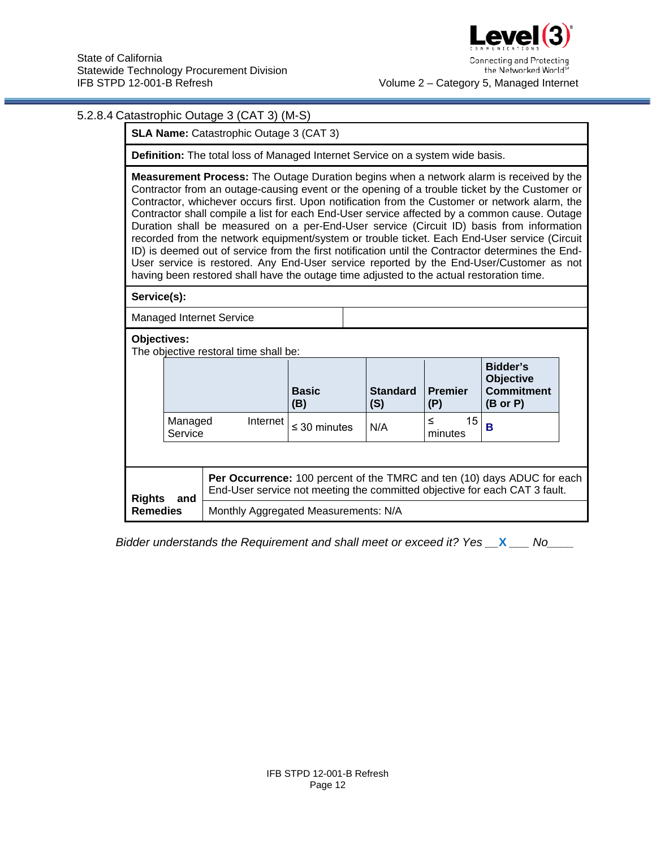

### 5.2.8.4 Catastrophic Outage 3 (CAT 3) (M-S)

**SLA Name:** Catastrophic Outage 3 (CAT 3)

**Definition:** The total loss of Managed Internet Service on a system wide basis.

**Measurement Process:** The Outage Duration begins when a network alarm is received by the Contractor from an outage-causing event or the opening of a trouble ticket by the Customer or Contractor, whichever occurs first. Upon notification from the Customer or network alarm, the Contractor shall compile a list for each End-User service affected by a common cause. Outage Duration shall be measured on a per-End-User service (Circuit ID) basis from information recorded from the network equipment/system or trouble ticket. Each End-User service (Circuit ID) is deemed out of service from the first notification until the Contractor determines the End-User service is restored. Any End-User service reported by the End-User/Customer as not having been restored shall have the outage time adjusted to the actual restoration time.

**Service(s):**

Managed Internet Service

#### **Objectives:**

The objective restoral time shall be:

|                 |                    |                                                                                                                                                              | <b>Basic</b><br>(B) | <b>Standard</b><br>(S) | <b>Premier</b><br>(P) | Bidder's<br><b>Objective</b><br><b>Commitment</b><br>$(B \text{ or } P)$ |  |
|-----------------|--------------------|--------------------------------------------------------------------------------------------------------------------------------------------------------------|---------------------|------------------------|-----------------------|--------------------------------------------------------------------------|--|
|                 | Managed<br>Service | Internet                                                                                                                                                     | $\leq$ 30 minutes   | N/A                    | 15<br>≤<br>minutes    | в                                                                        |  |
|                 |                    |                                                                                                                                                              |                     |                        |                       |                                                                          |  |
| <b>Rights</b>   | and                | <b>Per Occurrence:</b> 100 percent of the TMRC and ten (10) days ADUC for each<br>End-User service not meeting the committed objective for each CAT 3 fault. |                     |                        |                       |                                                                          |  |
| <b>Remedies</b> |                    | Monthly Aggregated Measurements: N/A                                                                                                                         |                     |                        |                       |                                                                          |  |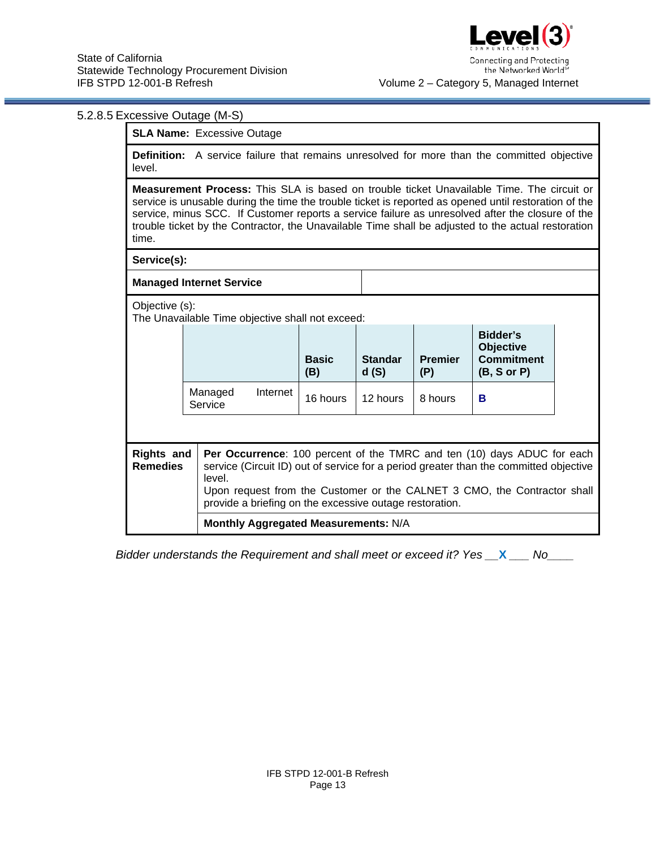## 5.2.8.5 Excessive Outage (M-S)

**SLA Name:** Excessive Outage

**Definition:** A service failure that remains unresolved for more than the committed objective level.

**Measurement Process:** This SLA is based on trouble ticket Unavailable Time. The circuit or service is unusable during the time the trouble ticket is reported as opened until restoration of the service, minus SCC. If Customer reports a service failure as unresolved after the closure of the trouble ticket by the Contractor, the Unavailable Time shall be adjusted to the actual restoration time.

**Service(s):**

**Managed Internet Service**

Objective (s):

The Unavailable Time objective shall not exceed:

|                                                                                                                                                                                                                           |                    |          | <b>Basic</b><br>(B) | <b>Standar</b><br>d(S) | <b>Premier</b><br>(P) | Bidder's<br><b>Objective</b><br><b>Commitment</b><br>(B, S or P) |  |
|---------------------------------------------------------------------------------------------------------------------------------------------------------------------------------------------------------------------------|--------------------|----------|---------------------|------------------------|-----------------------|------------------------------------------------------------------|--|
|                                                                                                                                                                                                                           | Managed<br>Service | Internet | 16 hours            | 12 hours               | 8 hours               | в                                                                |  |
|                                                                                                                                                                                                                           |                    |          |                     |                        |                       |                                                                  |  |
| <b>Rights and</b><br><b>Per Occurrence:</b> 100 percent of the TMRC and ten (10) days ADUC for each<br><b>Remedies</b><br>service (Circuit ID) out of service for a period greater than the committed objective<br>level. |                    |          |                     |                        |                       |                                                                  |  |

Upon request from the Customer or the CALNET 3 CMO, the Contractor shall provide a briefing on the excessive outage restoration.

**Monthly Aggregated Measurements:** N/A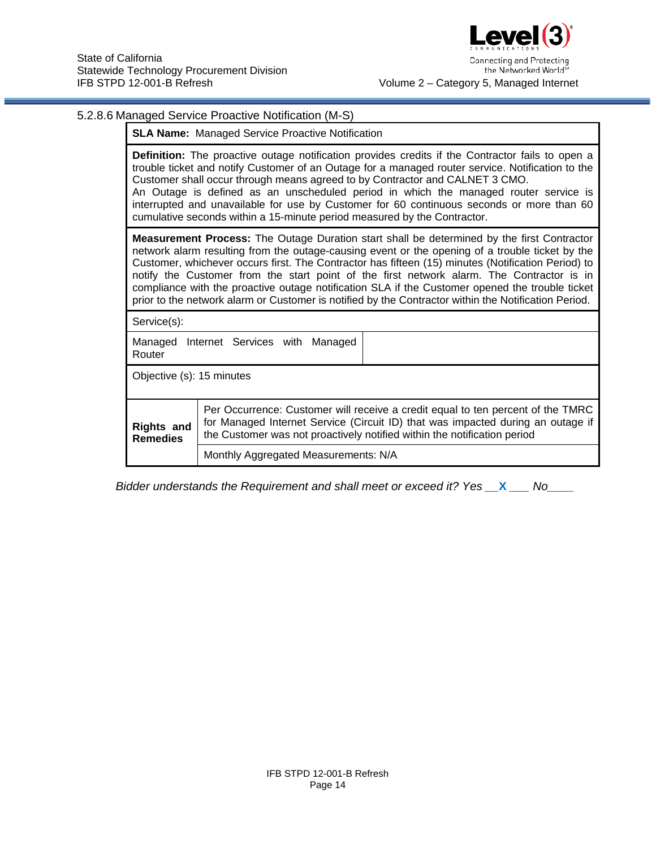

# 5.2.8.6 Managed Service Proactive Notification (M-S)

|                                                                                                                                                                                                                                                                                        | <b>SLA Name:</b> Managed Service Proactive Notification                                                                                                                                                                                                                                                                                                                                                                                                                                                                                                                                                            |  |  |  |  |
|----------------------------------------------------------------------------------------------------------------------------------------------------------------------------------------------------------------------------------------------------------------------------------------|--------------------------------------------------------------------------------------------------------------------------------------------------------------------------------------------------------------------------------------------------------------------------------------------------------------------------------------------------------------------------------------------------------------------------------------------------------------------------------------------------------------------------------------------------------------------------------------------------------------------|--|--|--|--|
|                                                                                                                                                                                                                                                                                        | <b>Definition:</b> The proactive outage notification provides credits if the Contractor fails to open a<br>trouble ticket and notify Customer of an Outage for a managed router service. Notification to the<br>Customer shall occur through means agreed to by Contractor and CALNET 3 CMO.<br>An Outage is defined as an unscheduled period in which the managed router service is<br>interrupted and unavailable for use by Customer for 60 continuous seconds or more than 60<br>cumulative seconds within a 15-minute period measured by the Contractor.                                                      |  |  |  |  |
|                                                                                                                                                                                                                                                                                        | <b>Measurement Process:</b> The Outage Duration start shall be determined by the first Contractor<br>network alarm resulting from the outage-causing event or the opening of a trouble ticket by the<br>Customer, whichever occurs first. The Contractor has fifteen (15) minutes (Notification Period) to<br>notify the Customer from the start point of the first network alarm. The Contractor is in<br>compliance with the proactive outage notification SLA if the Customer opened the trouble ticket<br>prior to the network alarm or Customer is notified by the Contractor within the Notification Period. |  |  |  |  |
| Service(s):                                                                                                                                                                                                                                                                            |                                                                                                                                                                                                                                                                                                                                                                                                                                                                                                                                                                                                                    |  |  |  |  |
| Managed<br>Router                                                                                                                                                                                                                                                                      | Internet Services with Managed                                                                                                                                                                                                                                                                                                                                                                                                                                                                                                                                                                                     |  |  |  |  |
| Objective (s): 15 minutes                                                                                                                                                                                                                                                              |                                                                                                                                                                                                                                                                                                                                                                                                                                                                                                                                                                                                                    |  |  |  |  |
| Per Occurrence: Customer will receive a credit equal to ten percent of the TMRC<br>for Managed Internet Service (Circuit ID) that was impacted during an outage if<br><b>Rights and</b><br>the Customer was not proactively notified within the notification period<br><b>Remedies</b> |                                                                                                                                                                                                                                                                                                                                                                                                                                                                                                                                                                                                                    |  |  |  |  |
|                                                                                                                                                                                                                                                                                        | Monthly Aggregated Measurements: N/A                                                                                                                                                                                                                                                                                                                                                                                                                                                                                                                                                                               |  |  |  |  |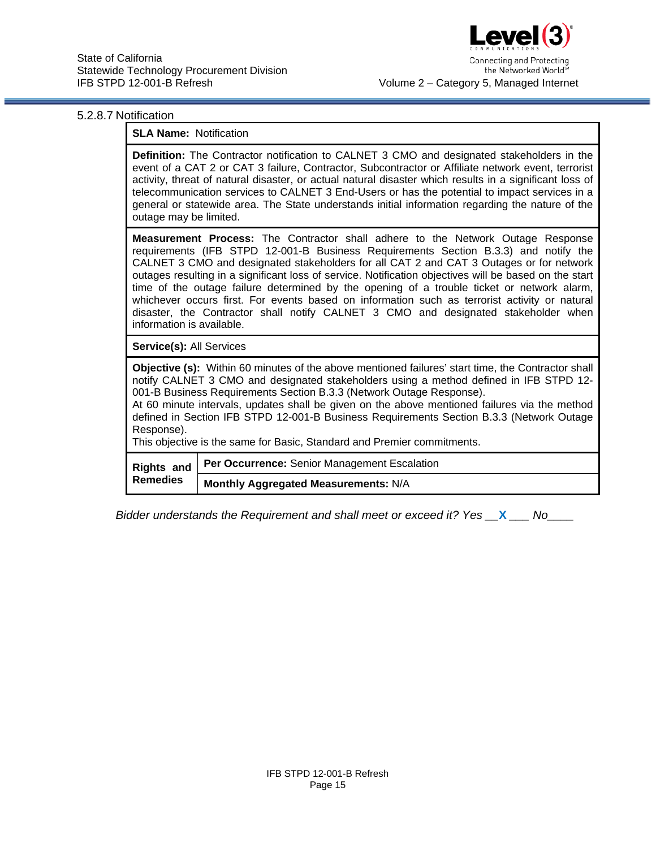

#### 5.2.8.7 Notification

#### **SLA Name:** Notification

**Definition:** The Contractor notification to CALNET 3 CMO and designated stakeholders in the event of a CAT 2 or CAT 3 failure, Contractor, Subcontractor or Affiliate network event, terrorist activity, threat of natural disaster, or actual natural disaster which results in a significant loss of telecommunication services to CALNET 3 End-Users or has the potential to impact services in a general or statewide area. The State understands initial information regarding the nature of the outage may be limited.

**Measurement Process:** The Contractor shall adhere to the Network Outage Response requirements (IFB STPD 12-001-B Business Requirements Section B.3.3) and notify the CALNET 3 CMO and designated stakeholders for all CAT 2 and CAT 3 Outages or for network outages resulting in a significant loss of service. Notification objectives will be based on the start time of the outage failure determined by the opening of a trouble ticket or network alarm, whichever occurs first. For events based on information such as terrorist activity or natural disaster, the Contractor shall notify CALNET 3 CMO and designated stakeholder when information is available.

**Service(s):** All Services

**Objective (s):** Within 60 minutes of the above mentioned failures' start time, the Contractor shall notify CALNET 3 CMO and designated stakeholders using a method defined in IFB STPD 12- 001-B Business Requirements Section B.3.3 (Network Outage Response).

At 60 minute intervals, updates shall be given on the above mentioned failures via the method defined in Section IFB STPD 12-001-B Business Requirements Section B.3.3 (Network Outage Response).

This objective is the same for Basic, Standard and Premier commitments.

| <b>Remedies</b> | Rights and   Per Occurrence: Senior Management Escalation |
|-----------------|-----------------------------------------------------------|
|                 | Monthly Aggregated Measurements: N/A                      |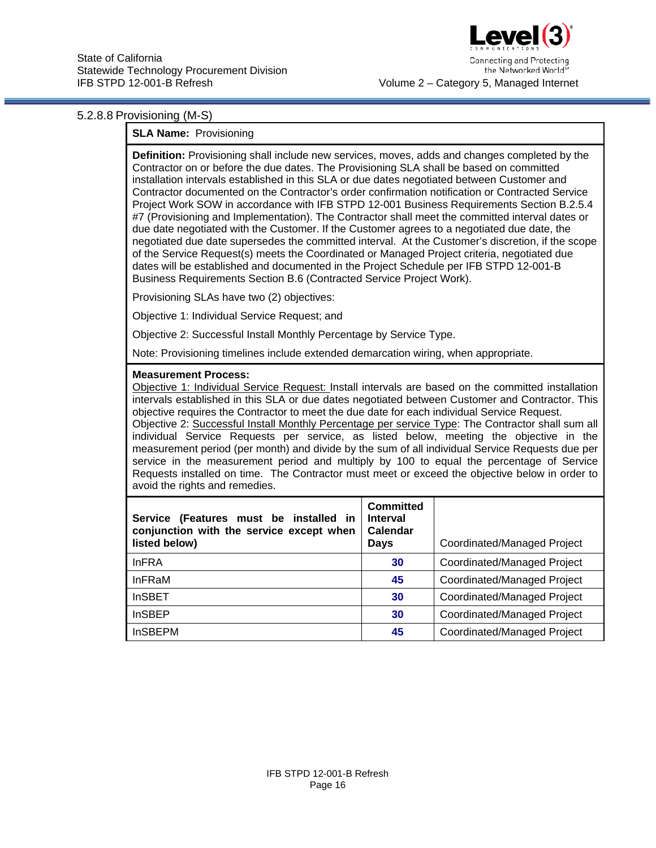

Connecting and Protecting the Networked Worlds Volume 2 – Category 5, Managed Internet

#### 5.2.8.8 Provisioning (M-S)

### **SLA Name:** Provisioning

**Definition:** Provisioning shall include new services, moves, adds and changes completed by the Contractor on or before the due dates. The Provisioning SLA shall be based on committed installation intervals established in this SLA or due dates negotiated between Customer and Contractor documented on the Contractor's order confirmation notification or Contracted Service Project Work SOW in accordance with IFB STPD 12-001 Business Requirements Section B.2.5.4 #7 (Provisioning and Implementation). The Contractor shall meet the committed interval dates or due date negotiated with the Customer. If the Customer agrees to a negotiated due date, the negotiated due date supersedes the committed interval. At the Customer's discretion, if the scope of the Service Request(s) meets the Coordinated or Managed Project criteria, negotiated due dates will be established and documented in the Project Schedule per IFB STPD 12-001-B Business Requirements Section B.6 (Contracted Service Project Work).

Provisioning SLAs have two (2) objectives:

Objective 1: Individual Service Request; and

Objective 2: Successful Install Monthly Percentage by Service Type.

Note: Provisioning timelines include extended demarcation wiring, when appropriate.

#### **Measurement Process:**

Objective 1: Individual Service Request: Install intervals are based on the committed installation intervals established in this SLA or due dates negotiated between Customer and Contractor. This objective requires the Contractor to meet the due date for each individual Service Request. Objective 2: Successful Install Monthly Percentage per service Type: The Contractor shall sum all individual Service Requests per service, as listed below, meeting the objective in the measurement period (per month) and divide by the sum of all individual Service Requests due per service in the measurement period and multiply by 100 to equal the percentage of Service Requests installed on time. The Contractor must meet or exceed the objective below in order to avoid the rights and remedies.

| Service (Features must be installed in<br>conjunction with the service except when<br>listed below) | Committed<br><b>Interval</b><br>Calendar<br>Days | Coordinated/Managed Project |
|-----------------------------------------------------------------------------------------------------|--------------------------------------------------|-----------------------------|
| <b>InFRA</b>                                                                                        | 30                                               | Coordinated/Managed Project |
| <b>InFRaM</b>                                                                                       | 45                                               | Coordinated/Managed Project |
| <b>InSBET</b>                                                                                       | 30                                               | Coordinated/Managed Project |
| <b>InSBEP</b>                                                                                       | 30                                               | Coordinated/Managed Project |
| <b>InSBEPM</b>                                                                                      | 45                                               | Coordinated/Managed Project |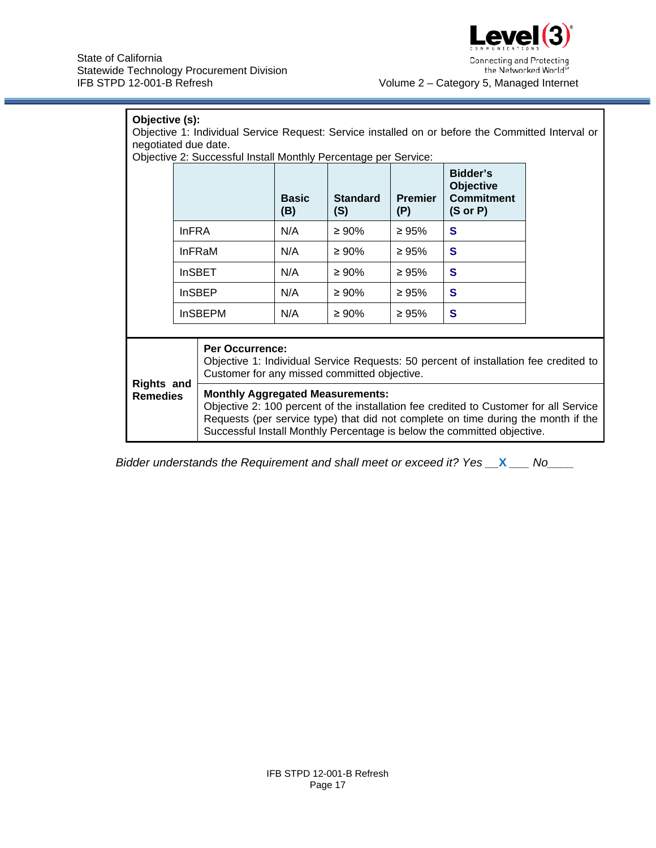

| Objective (s):<br>Objective 1: Individual Service Request: Service installed on or before the Committed Interval or<br>negotiated due date.<br>Objective 2: Successful Install Monthly Percentage per Service: |               |                                                                                                                                                                                                                                                                                                  |                     |                        |                       |                                                                          |  |  |  |  |  |
|----------------------------------------------------------------------------------------------------------------------------------------------------------------------------------------------------------------|---------------|--------------------------------------------------------------------------------------------------------------------------------------------------------------------------------------------------------------------------------------------------------------------------------------------------|---------------------|------------------------|-----------------------|--------------------------------------------------------------------------|--|--|--|--|--|
|                                                                                                                                                                                                                |               |                                                                                                                                                                                                                                                                                                  | <b>Basic</b><br>(B) | <b>Standard</b><br>(S) | <b>Premier</b><br>(P) | Bidder's<br><b>Objective</b><br><b>Commitment</b><br>$(S \text{ or } P)$ |  |  |  |  |  |
|                                                                                                                                                                                                                | <b>InFRA</b>  |                                                                                                                                                                                                                                                                                                  | N/A                 | $\geq 90\%$            | $\geq 95\%$           | S                                                                        |  |  |  |  |  |
|                                                                                                                                                                                                                |               | <b>InFRaM</b>                                                                                                                                                                                                                                                                                    | N/A                 | $\geq 90\%$            | $\geq 95\%$           | S                                                                        |  |  |  |  |  |
|                                                                                                                                                                                                                |               | <b>InSBET</b>                                                                                                                                                                                                                                                                                    | N/A                 | $\geq 90\%$            | $\geq 95\%$           | S                                                                        |  |  |  |  |  |
|                                                                                                                                                                                                                | <b>InSBEP</b> |                                                                                                                                                                                                                                                                                                  | N/A                 | $\geq 90\%$            | $\geq 95\%$           | $\mathbf{s}$                                                             |  |  |  |  |  |
|                                                                                                                                                                                                                |               | <b>InSBEPM</b>                                                                                                                                                                                                                                                                                   | N/A                 | $\geq 90\%$            | $\geq 95\%$           | S                                                                        |  |  |  |  |  |
|                                                                                                                                                                                                                |               |                                                                                                                                                                                                                                                                                                  |                     |                        |                       |                                                                          |  |  |  |  |  |
|                                                                                                                                                                                                                |               | <b>Per Occurrence:</b><br>Objective 1: Individual Service Requests: 50 percent of installation fee credited to<br>Customer for any missed committed objective.                                                                                                                                   |                     |                        |                       |                                                                          |  |  |  |  |  |
| <b>Rights and</b><br><b>Remedies</b>                                                                                                                                                                           |               | <b>Monthly Aggregated Measurements:</b><br>Objective 2: 100 percent of the installation fee credited to Customer for all Service<br>Requests (per service type) that did not complete on time during the month if the<br>Successful Install Monthly Percentage is below the committed objective. |                     |                        |                       |                                                                          |  |  |  |  |  |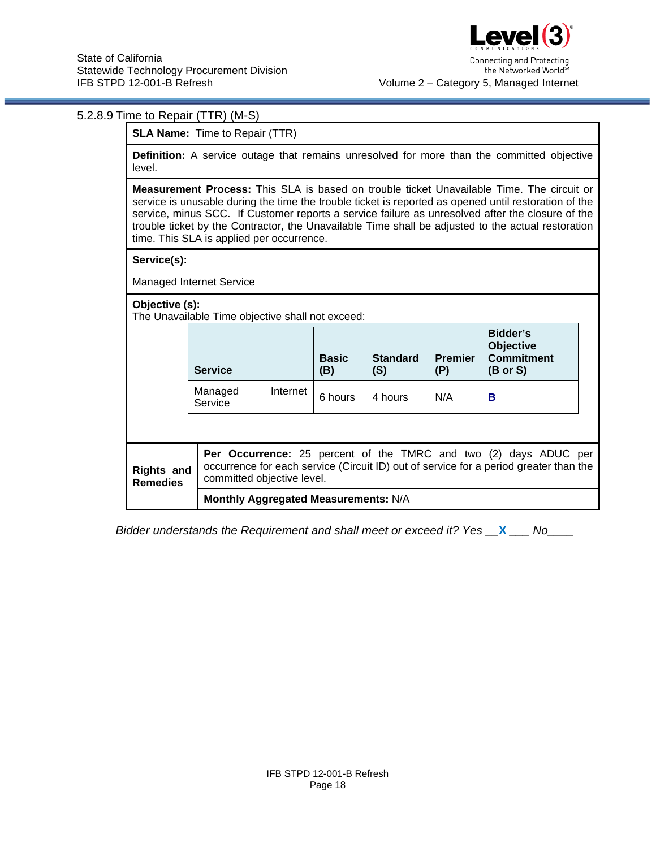|                                                                                                                                                                                                                                                                                                                                                                                                                                                                  | 5.2.8.9 Time to Repair (TTR) (M-S)                                                                                                                                                      |          |                     |                        |                       |                                                                          |  |  |  |  |  |  |
|------------------------------------------------------------------------------------------------------------------------------------------------------------------------------------------------------------------------------------------------------------------------------------------------------------------------------------------------------------------------------------------------------------------------------------------------------------------|-----------------------------------------------------------------------------------------------------------------------------------------------------------------------------------------|----------|---------------------|------------------------|-----------------------|--------------------------------------------------------------------------|--|--|--|--|--|--|
| <b>SLA Name:</b> Time to Repair (TTR)                                                                                                                                                                                                                                                                                                                                                                                                                            |                                                                                                                                                                                         |          |                     |                        |                       |                                                                          |  |  |  |  |  |  |
| <b>Definition:</b> A service outage that remains unresolved for more than the committed objective<br>level.                                                                                                                                                                                                                                                                                                                                                      |                                                                                                                                                                                         |          |                     |                        |                       |                                                                          |  |  |  |  |  |  |
| <b>Measurement Process:</b> This SLA is based on trouble ticket Unavailable Time. The circuit or<br>service is unusable during the time the trouble ticket is reported as opened until restoration of the<br>service, minus SCC. If Customer reports a service failure as unresolved after the closure of the<br>trouble ticket by the Contractor, the Unavailable Time shall be adjusted to the actual restoration<br>time. This SLA is applied per occurrence. |                                                                                                                                                                                         |          |                     |                        |                       |                                                                          |  |  |  |  |  |  |
| Service(s):                                                                                                                                                                                                                                                                                                                                                                                                                                                      |                                                                                                                                                                                         |          |                     |                        |                       |                                                                          |  |  |  |  |  |  |
| <b>Managed Internet Service</b>                                                                                                                                                                                                                                                                                                                                                                                                                                  |                                                                                                                                                                                         |          |                     |                        |                       |                                                                          |  |  |  |  |  |  |
| Objective (s):<br>The Unavailable Time objective shall not exceed:                                                                                                                                                                                                                                                                                                                                                                                               |                                                                                                                                                                                         |          |                     |                        |                       |                                                                          |  |  |  |  |  |  |
|                                                                                                                                                                                                                                                                                                                                                                                                                                                                  | <b>Service</b>                                                                                                                                                                          |          | <b>Basic</b><br>(B) | <b>Standard</b><br>(S) | <b>Premier</b><br>(P) | Bidder's<br><b>Objective</b><br><b>Commitment</b><br>$(B \text{ or } S)$ |  |  |  |  |  |  |
|                                                                                                                                                                                                                                                                                                                                                                                                                                                                  | Managed<br>Service                                                                                                                                                                      | Internet | 6 hours             | 4 hours                | N/A                   | B                                                                        |  |  |  |  |  |  |
|                                                                                                                                                                                                                                                                                                                                                                                                                                                                  |                                                                                                                                                                                         |          |                     |                        |                       |                                                                          |  |  |  |  |  |  |
| <b>Rights and</b><br><b>Remedies</b>                                                                                                                                                                                                                                                                                                                                                                                                                             | Per Occurrence: 25 percent of the TMRC and two (2) days ADUC per<br>occurrence for each service (Circuit ID) out of service for a period greater than the<br>committed objective level. |          |                     |                        |                       |                                                                          |  |  |  |  |  |  |
|                                                                                                                                                                                                                                                                                                                                                                                                                                                                  | Monthly Aggregated Measurements: N/A                                                                                                                                                    |          |                     |                        |                       |                                                                          |  |  |  |  |  |  |